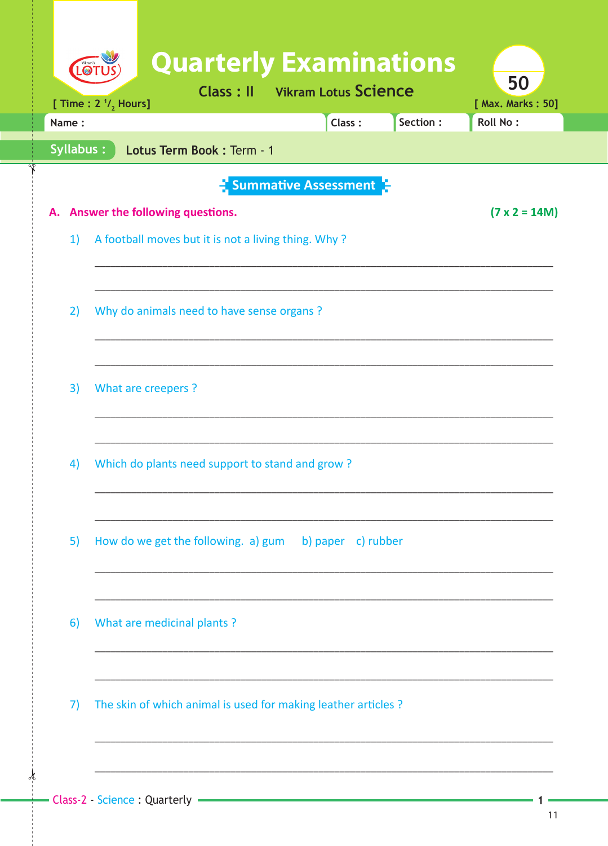| Name: | [ Time : $2 \frac{1}{2}$ Hours] |                                                                | <b>Class: II</b> Vikram Lotus Science            | Class: | Section: | [ Max. Marks: 50]<br><b>Roll No:</b> |
|-------|---------------------------------|----------------------------------------------------------------|--------------------------------------------------|--------|----------|--------------------------------------|
|       | Syllabus:                       | Lotus Term Book: Term - 1                                      |                                                  |        |          |                                      |
|       |                                 |                                                                | $\frac{1}{2}$ Summative Assessment $\frac{1}{2}$ |        |          |                                      |
|       |                                 | A. Answer the following questions.                             |                                                  |        |          | $(7 \times 2 = 14M)$                 |
| 1)    |                                 | A football moves but it is not a living thing. Why?            |                                                  |        |          |                                      |
|       |                                 |                                                                |                                                  |        |          |                                      |
| 2)    |                                 | Why do animals need to have sense organs?                      |                                                  |        |          |                                      |
|       |                                 |                                                                |                                                  |        |          |                                      |
| 3)    | What are creepers ?             |                                                                |                                                  |        |          |                                      |
|       |                                 |                                                                |                                                  |        |          |                                      |
| 4)    |                                 | Which do plants need support to stand and grow?                |                                                  |        |          |                                      |
|       |                                 |                                                                |                                                  |        |          |                                      |
|       |                                 |                                                                |                                                  |        |          |                                      |
| 5)    |                                 | How do we get the following. a) gum b) paper c) rubber         |                                                  |        |          |                                      |
|       |                                 |                                                                |                                                  |        |          |                                      |
| 6)    |                                 | What are medicinal plants?                                     |                                                  |        |          |                                      |
|       |                                 |                                                                |                                                  |        |          |                                      |
| 7)    |                                 | The skin of which animal is used for making leather articles ? |                                                  |        |          |                                      |
|       |                                 |                                                                |                                                  |        |          |                                      |

 $\frac{1}{2}$ 

1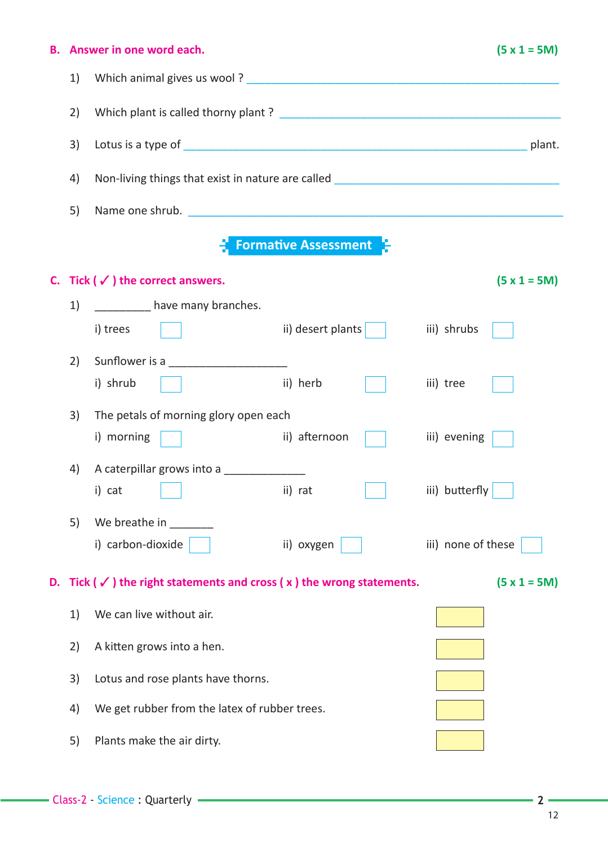| В. |    | Answer in one word each.                                                           |                             | $(5 x 1 = 5M)$     |
|----|----|------------------------------------------------------------------------------------|-----------------------------|--------------------|
|    | 1) |                                                                                    |                             |                    |
|    | 2) |                                                                                    |                             |                    |
|    | 3) |                                                                                    |                             |                    |
|    | 4) | Non-living things that exist in nature are called _______________________________  |                             |                    |
|    | 5) |                                                                                    |                             |                    |
|    |    |                                                                                    | <b>Formative Assessment</b> |                    |
|    |    | C. Tick ( $\checkmark$ ) the correct answers.                                      |                             | $(5 x 1 = 5M)$     |
|    | 1) | have many branches.                                                                |                             |                    |
|    |    | i) trees                                                                           | ii) desert plants $\vert$   | iii) shrubs        |
|    | 2) |                                                                                    |                             |                    |
|    |    | i) shrub                                                                           | ii) herb                    | iii) tree          |
|    | 3) | The petals of morning glory open each                                              |                             |                    |
|    |    | i) morning                                                                         | ii) afternoon               | iii) evening       |
|    | 4) | A caterpillar grows into a _____________                                           |                             |                    |
|    |    | i) cat                                                                             | ii) rat                     | iii) butterfly     |
|    | 5) | We breathe in                                                                      |                             |                    |
|    |    | i) carbon-dioxide                                                                  | ii) oxygen                  | iii) none of these |
| D. |    | Tick ( $\checkmark$ ) the right statements and cross ( $x$ ) the wrong statements. |                             | $(5 x 1 = 5M)$     |
|    | 1) | We can live without air.                                                           |                             |                    |
|    | 2) | A kitten grows into a hen.                                                         |                             |                    |
|    | 3) | Lotus and rose plants have thorns.                                                 |                             |                    |
|    | 4) | We get rubber from the latex of rubber trees.                                      |                             |                    |
|    | 5) | Plants make the air dirty.                                                         |                             |                    |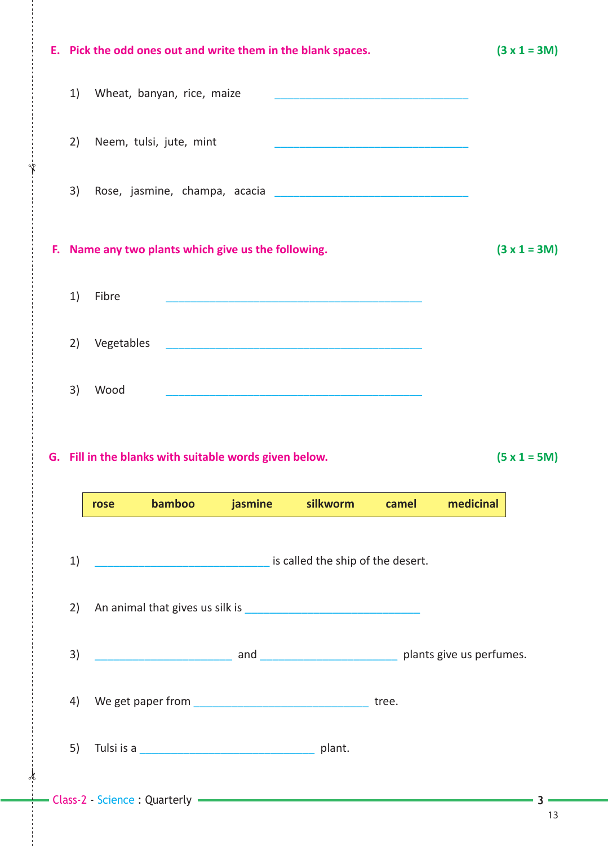|    |            |                                                     |                                                        | E. Pick the odd ones out and write them in the blank spaces.                                                          |       |           | $(3 x 1 = 3M)$ |
|----|------------|-----------------------------------------------------|--------------------------------------------------------|-----------------------------------------------------------------------------------------------------------------------|-------|-----------|----------------|
| 1) |            | Wheat, banyan, rice, maize                          |                                                        |                                                                                                                       |       |           |                |
| 2) |            | Neem, tulsi, jute, mint                             |                                                        | <u> 1989 - Johann John Stone, market fan it ferskearre fan it ferskearre fan it ferskearre fan it ferskearre fan </u> |       |           |                |
| 3) |            |                                                     |                                                        |                                                                                                                       |       |           |                |
|    |            | F. Name any two plants which give us the following. |                                                        |                                                                                                                       |       |           | $(3 x 1 = 3M)$ |
| 1) | Fibre      |                                                     |                                                        |                                                                                                                       |       |           |                |
| 2) | Vegetables |                                                     |                                                        |                                                                                                                       |       |           |                |
| 3) | Wood       |                                                     |                                                        |                                                                                                                       |       |           |                |
|    |            |                                                     |                                                        |                                                                                                                       |       |           |                |
|    |            |                                                     | G. Fill in the blanks with suitable words given below. |                                                                                                                       |       |           | $(5 x 1 = 5M)$ |
|    | rose       | <b>bamboo</b>                                       |                                                        | jasmine silkworm                                                                                                      | camel | medicinal |                |
| 1) |            |                                                     |                                                        | is called the ship of the desert.                                                                                     |       |           |                |
| 2) |            |                                                     |                                                        |                                                                                                                       |       |           |                |
| 3) |            |                                                     |                                                        |                                                                                                                       |       |           |                |
| 4) |            |                                                     |                                                        |                                                                                                                       |       |           |                |
| 5) |            |                                                     |                                                        |                                                                                                                       |       |           |                |

 $\frac{1}{2}$ 

 $\dot{\gamma}$